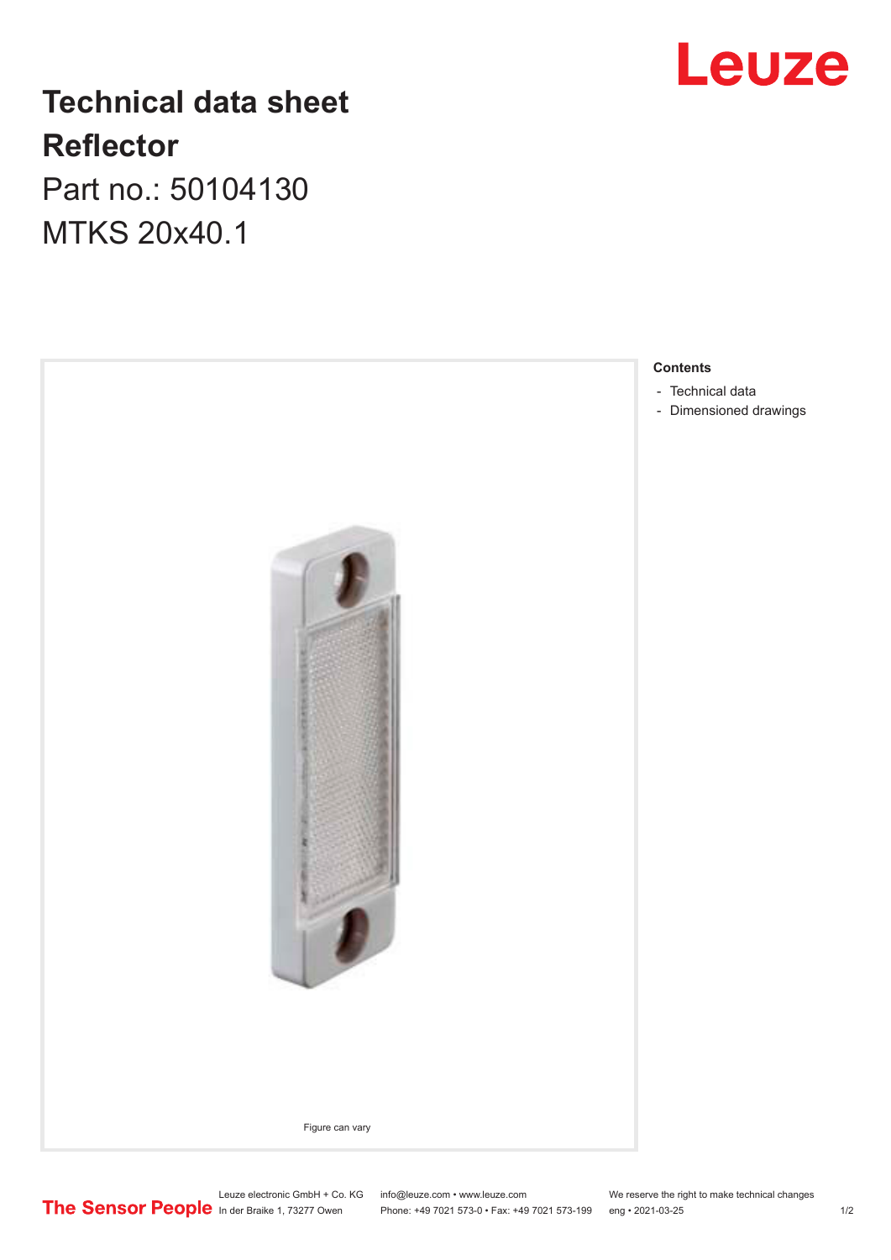# **Leuze**

## **Technical data sheet Reflector**

Part no.: 50104130 MTKS 20x40.1



Leuze electronic GmbH + Co. KG info@leuze.com • www.leuze.com We reserve the right to make technical changes